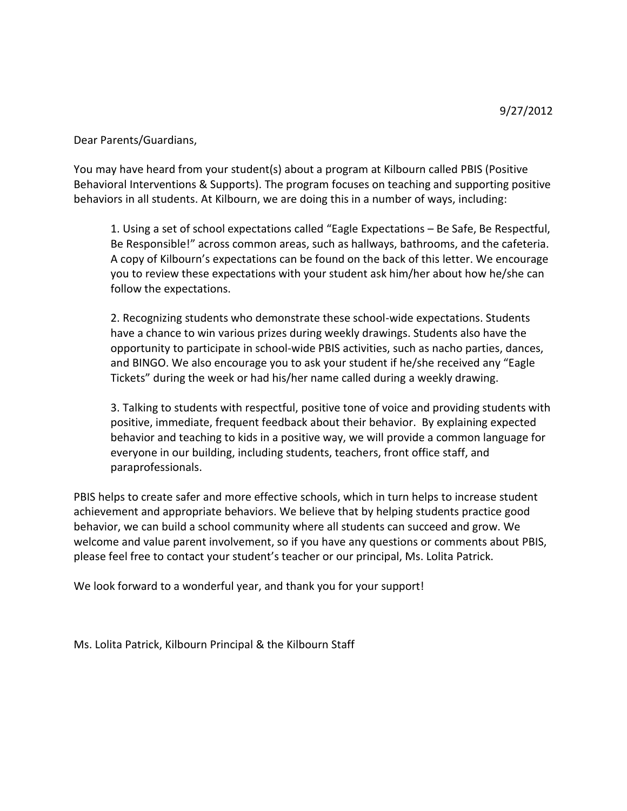Dear Parents/Guardians,

You may have heard from your student(s) about a program at Kilbourn called PBIS (Positive Behavioral Interventions & Supports). The program focuses on teaching and supporting positive behaviors in all students. At Kilbourn, we are doing this in a number of ways, including:

1. Using a set of school expectations called "Eagle Expectations – Be Safe, Be Respectful, Be Responsible!" across common areas, such as hallways, bathrooms, and the cafeteria. A copy of Kilbourn's expectations can be found on the back of this letter. We encourage you to review these expectations with your student ask him/her about how he/she can follow the expectations.

2. Recognizing students who demonstrate these school-wide expectations. Students have a chance to win various prizes during weekly drawings. Students also have the opportunity to participate in school-wide PBIS activities, such as nacho parties, dances, and BINGO. We also encourage you to ask your student if he/she received any "Eagle Tickets" during the week or had his/her name called during a weekly drawing.

3. Talking to students with respectful, positive tone of voice and providing students with positive, immediate, frequent feedback about their behavior. By explaining expected behavior and teaching to kids in a positive way, we will provide a common language for everyone in our building, including students, teachers, front office staff, and paraprofessionals.

PBIS helps to create safer and more effective schools, which in turn helps to increase student achievement and appropriate behaviors. We believe that by helping students practice good behavior, we can build a school community where all students can succeed and grow. We welcome and value parent involvement, so if you have any questions or comments about PBIS, please feel free to contact your student's teacher or our principal, Ms. Lolita Patrick.

We look forward to a wonderful year, and thank you for your support!

Ms. Lolita Patrick, Kilbourn Principal & the Kilbourn Staff